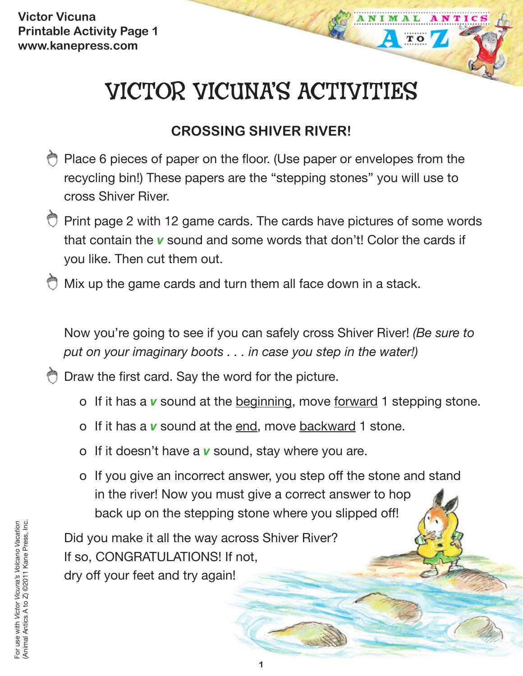# VICTOR VICUNA'S ACTIVITIES

**TO** 

# **CROSSING SHIVER RIVER!**

- Place 6 pieces of paper on the floor. (Use paper or envelopes from the recycling bin!) These papers are the "stepping stones" you will use to cross Shiver River.
- $\heartsuit$  Print page 2 with 12 game cards. The cards have pictures of some words that contain the *v* sound and some words that don't! Color the cards if you like. Then cut them out.
- $\bigcirc$  Mix up the game cards and turn them all face down in a stack.

Now you're going to see if you can safely cross Shiver River! *(Be sure to put on your imaginary boots . . . in case you step in the water!)*

Draw the first card. Say the word for the picture.

- o If it has a *v* sound at the beginning, move forward 1 stepping stone.
- o If it has a *v* sound at the end, move backward 1 stone.
- o If it doesn't have a *v* sound, stay where you are.
- o If you give an incorrect answer, you step off the stone and stand in the river! Now you must give a correct answer to hop back up on the stepping stone where you slipped off!

Did you make it all the way across Shiver River? If so, CONGRATULATIONS! If not, dry off your feet and try again!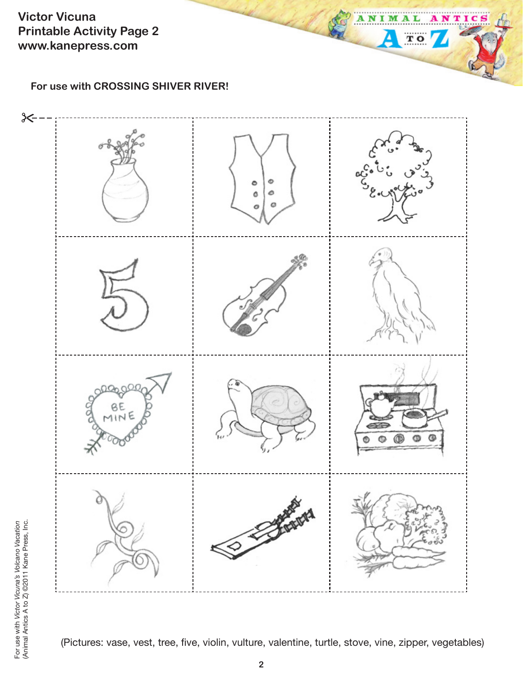**Victor Vicuna Printable Activity Page 2 www.kanepress.com**

**For use with CROSSING SHIVER RIVER!**



 $T$  O

4

(Pictures: vase, vest, tree, five, violin, vulture, valentine, turtle, stove, vine, zipper, vegetables)

For use with Victor Vicuna's Volcano Vacation<br>(Animal Antics A to Z) ©2011 Kane Press, Inc. For use with *Victor Vicuna's Volcano Vacation* (Animal Antics A to Z) ©2011 Kane Press, Inc.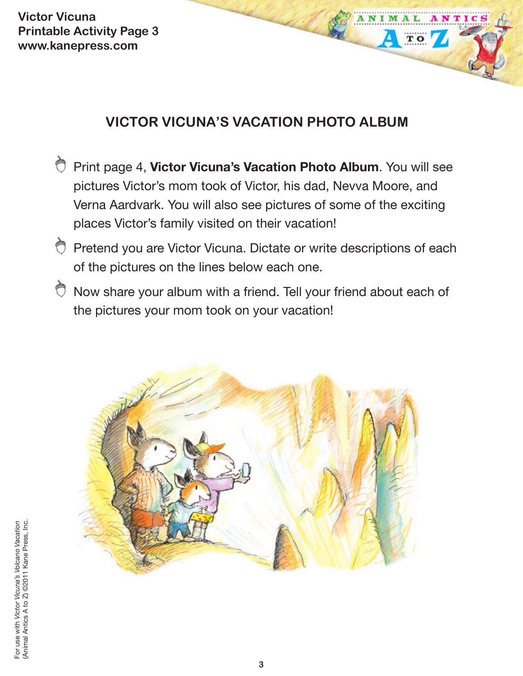**Victor Vicuna Printable Activity Page 3 www.kanepress.com**

## **VICTOR VICUNA'S VACATION PHOTO ALBUM**

 $T$  O

- Print page 4, **Victor Vicuna's Vacation Photo Album**. You will see pictures Victor's mom took of Victor, his dad, Nevva Moore, and Verna Aardvark. You will also see pictures of some of the exciting places Victor's family visited on their vacation!
- Pretend you are Victor Vicuna. Dictate or write descriptions of each of the pictures on the lines below each one.
- Now share your album with a friend. Tell your friend about each of the pictures your mom took on your vacation!

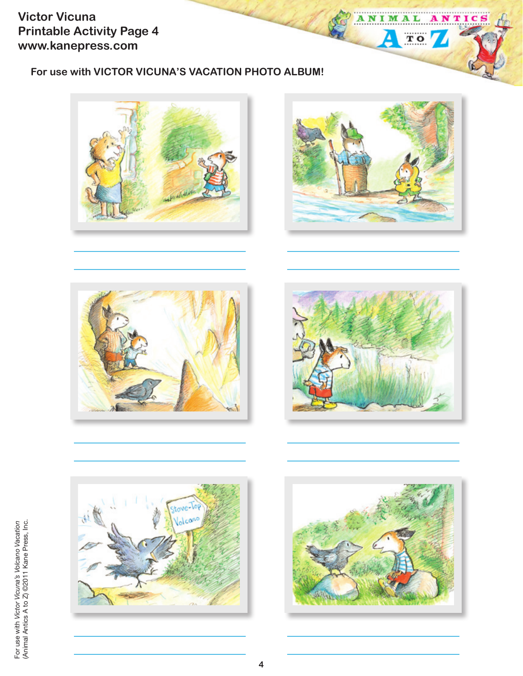**Victor Vicuna Printable Activity Page 4 www.kanepress.com**

### **For use with VICTOR VICUNA'S VACATION PHOTO ALBUM!**





ANIM

≙

A L

 $\overline{\mathbf{T}}$  O

NTIC